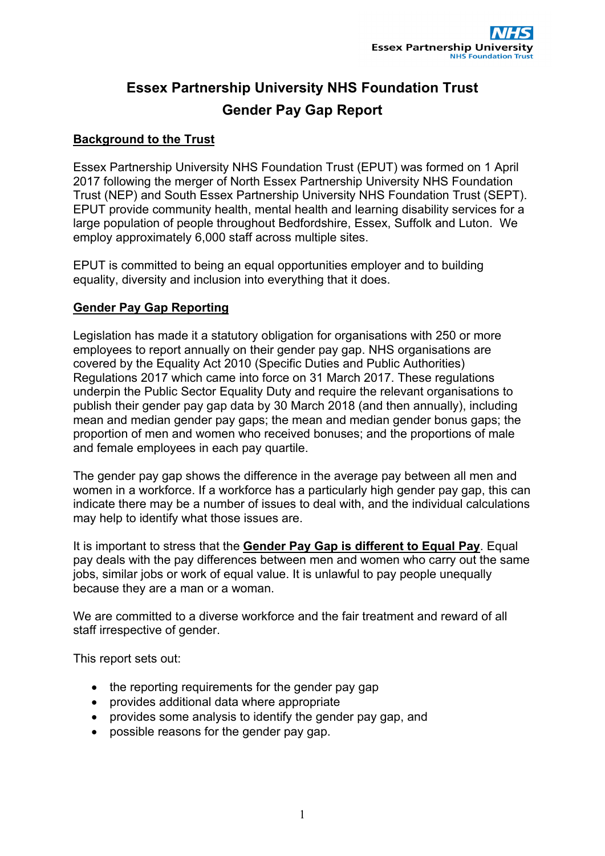# **Essex Partnership University NHS Foundation Trust Gender Pay Gap Report**

## **Background to the Trust**

Essex Partnership University NHS Foundation Trust (EPUT) was formed on 1 April 2017 following the merger of North Essex Partnership University NHS Foundation Trust (NEP) and South Essex Partnership University NHS Foundation Trust (SEPT). EPUT provide community health, mental health and learning disability services for a large population of people throughout Bedfordshire, Essex, Suffolk and Luton. We employ approximately 6,000 staff across multiple sites.

EPUT is committed to being an equal opportunities employer and to building equality, diversity and inclusion into everything that it does.

# **Gender Pay Gap Reporting**

Legislation has made it a statutory obligation for organisations with 250 or more employees to report annually on their gender pay gap. NHS organisations are covered by the Equality Act 2010 (Specific Duties and Public Authorities) Regulations 2017 which came into force on 31 March 2017. These regulations underpin the Public Sector Equality Duty and require the relevant organisations to publish their gender pay gap data by 30 March 2018 (and then annually), including mean and median gender pay gaps; the mean and median gender bonus gaps; the proportion of men and women who received bonuses; and the proportions of male and female employees in each pay quartile.

The gender pay gap shows the difference in the average pay between all men and women in a workforce. If a workforce has a particularly high gender pay gap, this can indicate there may be a number of issues to deal with, and the individual calculations may help to identify what those issues are.

It is important to stress that the **Gender Pay Gap is different to Equal Pay**. Equal pay deals with the pay differences between men and women who carry out the same jobs, similar jobs or work of equal value. It is unlawful to pay people unequally because they are a man or a woman.

We are committed to a diverse workforce and the fair treatment and reward of all staff irrespective of gender.

This report sets out:

- $\bullet$  the reporting requirements for the gender pay gap
- provides additional data where appropriate
- provides some analysis to identify the gender pay gap, and
- possible reasons for the gender pay gap.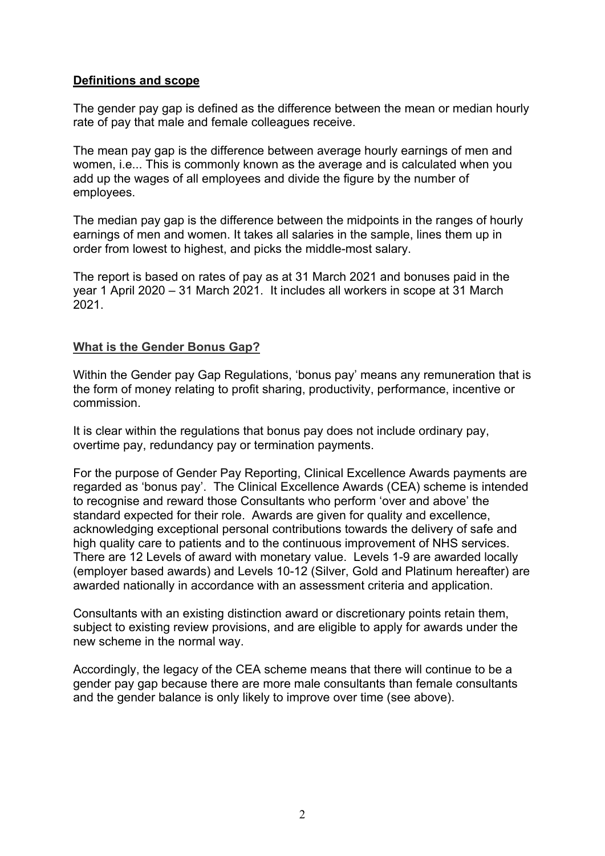#### **Definitions and scope**

The gender pay gap is defined as the difference between the mean or median hourly rate of pay that male and female colleagues receive.

The mean pay gap is the difference between average hourly earnings of men and women, i.e... This is commonly known as the average and is calculated when you add up the wages of all employees and divide the figure by the number of employees.

The median pay gap is the difference between the midpoints in the ranges of hourly earnings of men and women. It takes all salaries in the sample, lines them up in order from lowest to highest, and picks the middle-most salary.

The report is based on rates of pay as at 31 March 2021 and bonuses paid in the year 1 April 2020 – 31 March 2021. It includes all workers in scope at 31 March 2021.

#### **What is the Gender Bonus Gap?**

Within the Gender pay Gap Regulations, 'bonus pay' means any remuneration that is the form of money relating to profit sharing, productivity, performance, incentive or commission.

It is clear within the regulations that bonus pay does not include ordinary pay, overtime pay, redundancy pay or termination payments.

For the purpose of Gender Pay Reporting, Clinical Excellence Awards payments are regarded as 'bonus pay'. The Clinical Excellence Awards (CEA) scheme is intended to recognise and reward those Consultants who perform 'over and above' the standard expected for their role. Awards are given for quality and excellence, acknowledging exceptional personal contributions towards the delivery of safe and high quality care to patients and to the continuous improvement of NHS services. There are 12 Levels of award with monetary value. Levels 1-9 are awarded locally (employer based awards) and Levels 10-12 (Silver, Gold and Platinum hereafter) are awarded nationally in accordance with an assessment criteria and application.

Consultants with an existing distinction award or discretionary points retain them, subject to existing review provisions, and are eligible to apply for awards under the new scheme in the normal way.

Accordingly, the legacy of the CEA scheme means that there will continue to be a gender pay gap because there are more male consultants than female consultants and the gender balance is only likely to improve over time (see above).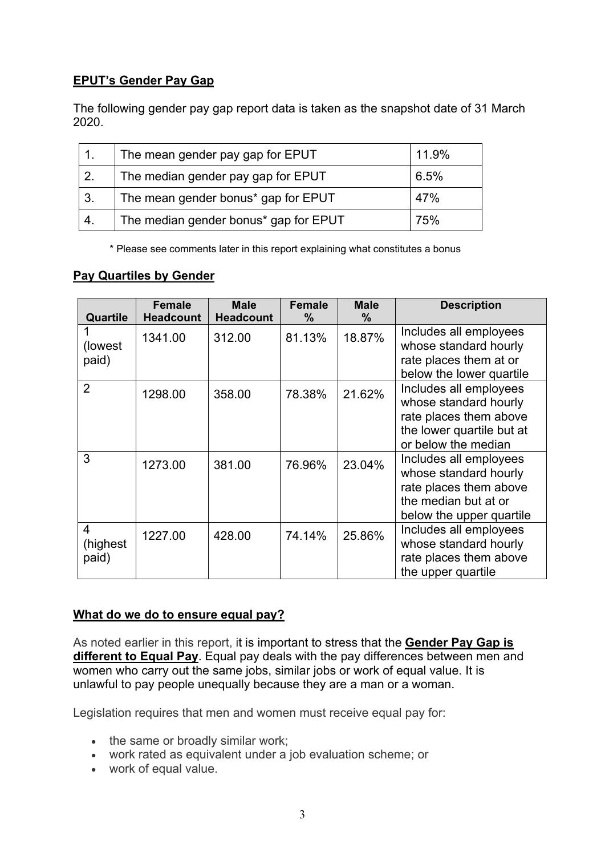# **EPUT's Gender Pay Gap**

The following gender pay gap report data is taken as the snapshot date of 31 March 2020.

|                  | The mean gender pay gap for EPUT      | 11.9% |
|------------------|---------------------------------------|-------|
| $\overline{2}$ . | The median gender pay gap for EPUT    | 6.5%  |
| l 3.             | The mean gender bonus* gap for EPUT   | 47%   |
| 4.               | The median gender bonus* gap for EPUT | 75%   |

\* Please see comments later in this report explaining what constitutes a bonus

## **Pay Quartiles by Gender**

| Quartile                | <b>Female</b><br><b>Headcount</b> | <b>Male</b><br><b>Headcount</b> | <b>Female</b><br>$\frac{9}{6}$ | <b>Male</b><br>$\%$ | <b>Description</b>                                                                                                            |
|-------------------------|-----------------------------------|---------------------------------|--------------------------------|---------------------|-------------------------------------------------------------------------------------------------------------------------------|
| (lowest)<br>paid)       | 1341.00                           | 312.00                          | 81.13%                         | 18.87%              | Includes all employees<br>whose standard hourly<br>rate places them at or<br>below the lower quartile                         |
| $\overline{2}$          | 1298.00                           | 358.00                          | 78.38%                         | 21.62%              | Includes all employees<br>whose standard hourly<br>rate places them above<br>the lower quartile but at<br>or below the median |
| 3                       | 1273.00                           | 381.00                          | 76.96%                         | 23.04%              | Includes all employees<br>whose standard hourly<br>rate places them above<br>the median but at or<br>below the upper quartile |
| 4<br>(highest)<br>paid) | 1227.00                           | 428.00                          | 74.14%                         | 25.86%              | Includes all employees<br>whose standard hourly<br>rate places them above<br>the upper quartile                               |

## **What do we do to ensure equal pay?**

As noted earlier in this report, it is important to stress that the **Gender Pay Gap is different to Equal Pay**. Equal pay deals with the pay differences between men and women who carry out the same jobs, similar jobs or work of equal value. It is unlawful to pay people unequally because they are a man or a woman.

Legislation requires that men and women must receive equal pay for:

- the same or broadly similar work;
- work rated as equivalent under a job evaluation scheme; or
- work of equal value.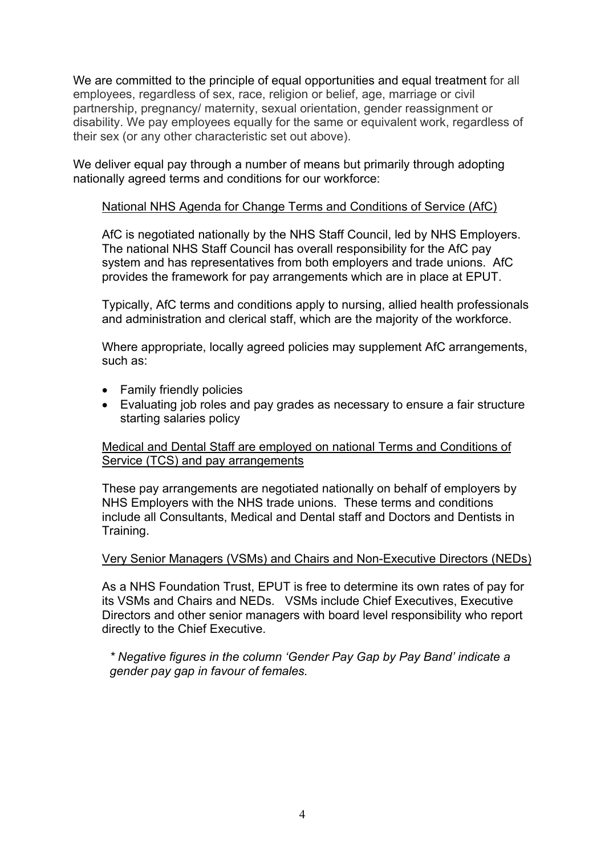We are committed to the principle of equal opportunities and equal treatment for all employees, regardless of sex, race, religion or belief, age, marriage or civil partnership, pregnancy/ maternity, sexual orientation, gender reassignment or disability. We pay employees equally for the same or equivalent work, regardless of their sex (or any other characteristic set out above).

We deliver equal pay through a number of means but primarily through adopting nationally agreed terms and conditions for our workforce:

#### National NHS Agenda for Change Terms and Conditions of Service (AfC)

AfC is negotiated nationally by the NHS Staff Council, led by NHS Employers. The national NHS Staff Council has overall responsibility for the AfC pay system and has representatives from both employers and trade unions. AfC provides the framework for pay arrangements which are in place at EPUT.

Typically, AfC terms and conditions apply to nursing, allied health professionals and administration and clerical staff, which are the majority of the workforce.

Where appropriate, locally agreed policies may supplement AfC arrangements, such as:

- Family friendly policies
- Evaluating job roles and pay grades as necessary to ensure a fair structure starting salaries policy

#### Medical and Dental Staff are employed on national Terms and Conditions of Service (TCS) and pay arrangements

These pay arrangements are negotiated nationally on behalf of employers by NHS Employers with the NHS trade unions. These terms and conditions include all Consultants, Medical and Dental staff and Doctors and Dentists in Training.

#### Very Senior Managers (VSMs) and Chairs and Non-Executive Directors (NEDs)

As a NHS Foundation Trust, EPUT is free to determine its own rates of pay for its VSMs and Chairs and NEDs. VSMs include Chief Executives, Executive Directors and other senior managers with board level responsibility who report directly to the Chief Executive.

*\* Negative figures in the column 'Gender Pay Gap by Pay Band' indicate a gender pay gap in favour of females.*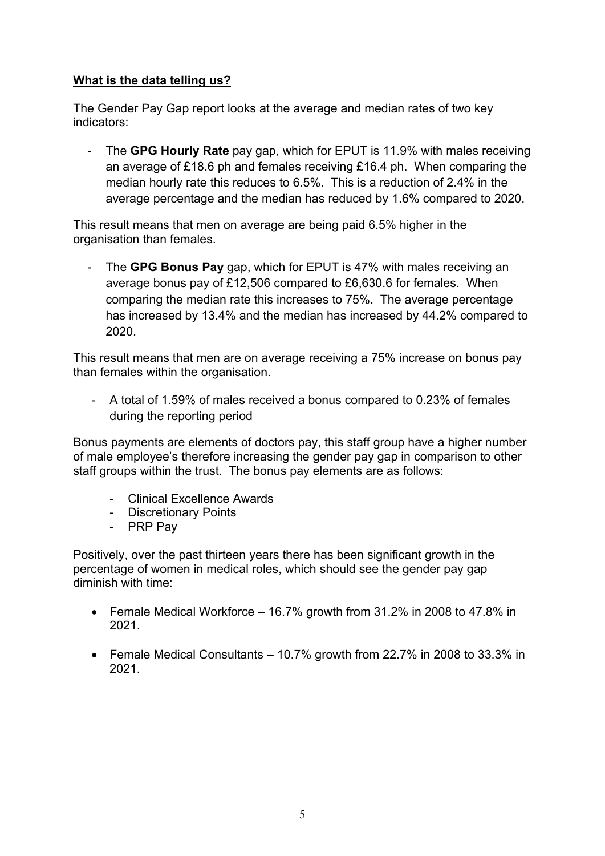# **What is the data telling us?**

The Gender Pay Gap report looks at the average and median rates of two key indicators:

- The **GPG Hourly Rate** pay gap, which for EPUT is 11.9% with males receiving an average of £18.6 ph and females receiving £16.4 ph. When comparing the median hourly rate this reduces to 6.5%. This is a reduction of 2.4% in the average percentage and the median has reduced by 1.6% compared to 2020.

This result means that men on average are being paid 6.5% higher in the organisation than females.

- The **GPG Bonus Pay** gap, which for EPUT is 47% with males receiving an average bonus pay of £12,506 compared to £6,630.6 for females. When comparing the median rate this increases to 75%. The average percentage has increased by 13.4% and the median has increased by 44.2% compared to 2020.

This result means that men are on average receiving a 75% increase on bonus pay than females within the organisation.

- A total of 1.59% of males received a bonus compared to 0.23% of females during the reporting period

Bonus payments are elements of doctors pay, this staff group have a higher number of male employee's therefore increasing the gender pay gap in comparison to other staff groups within the trust. The bonus pay elements are as follows:

- Clinical Excellence Awards
- Discretionary Points
- PRP Pay

Positively, over the past thirteen years there has been significant growth in the percentage of women in medical roles, which should see the gender pay gap diminish with time:

- Female Medical Workforce 16.7% growth from 31.2% in 2008 to 47.8% in 2021.
- Female Medical Consultants 10.7% growth from 22.7% in 2008 to 33.3% in 2021.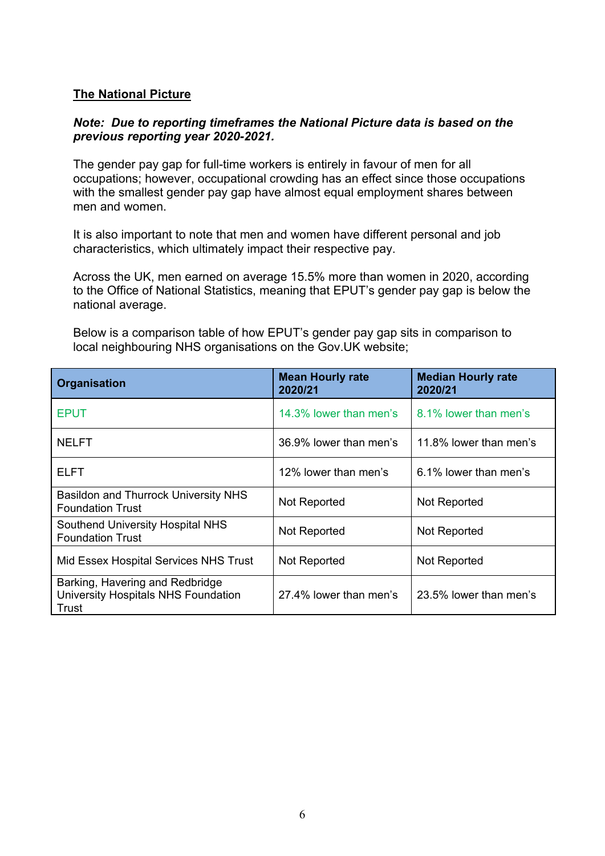#### **The National Picture**

#### *Note: Due to reporting timeframes the National Picture data is based on the previous reporting year 2020-2021.*

The gender pay gap for full-time workers is entirely in favour of men for all occupations; however, occupational crowding has an effect since those occupations with the smallest gender pay gap have almost equal employment shares between men and women.

It is also important to note that men and women have different personal and job characteristics, which ultimately impact their respective pay.

Across the UK, men earned on average 15.5% more than women in 2020, according to the Office of National Statistics, meaning that EPUT's gender pay gap is below the national average.

Below is a comparison table of how EPUT's gender pay gap sits in comparison to local neighbouring NHS organisations on the Gov.UK website;

| <b>Organisation</b>                                                             | <b>Mean Hourly rate</b><br>2020/21 | <b>Median Hourly rate</b><br>2020/21 |
|---------------------------------------------------------------------------------|------------------------------------|--------------------------------------|
| <b>EPUT</b>                                                                     | 14.3% lower than men's             | 8.1% lower than men's                |
| <b>NELFT</b>                                                                    | 36.9% lower than men's             | 11.8% lower than men's               |
| <b>ELFT</b>                                                                     | 12% lower than men's               | 6.1% lower than men's                |
| Basildon and Thurrock University NHS<br><b>Foundation Trust</b>                 | Not Reported                       | Not Reported                         |
| <b>Southend University Hospital NHS</b><br><b>Foundation Trust</b>              | Not Reported                       | Not Reported                         |
| Mid Essex Hospital Services NHS Trust                                           | Not Reported                       | Not Reported                         |
| Barking, Havering and Redbridge<br>University Hospitals NHS Foundation<br>Trust | 27.4% lower than men's             | 23.5% lower than men's               |